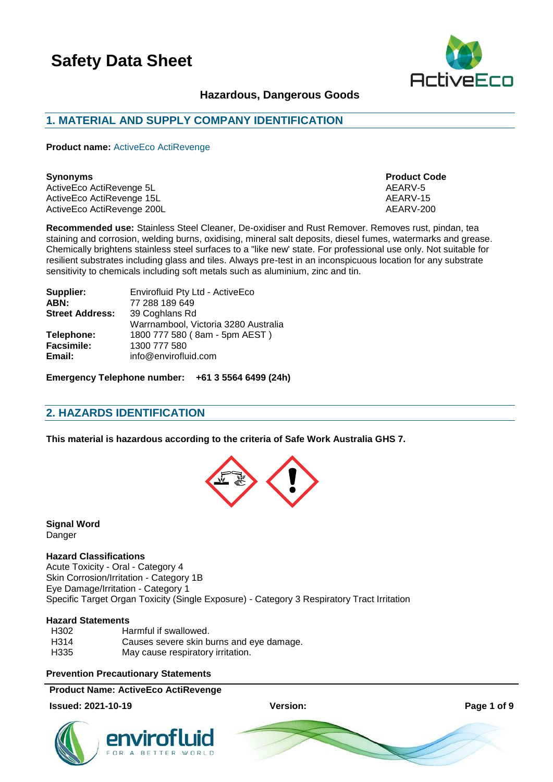

## **Hazardous, Dangerous Goods**

## **1. MATERIAL AND SUPPLY COMPANY IDENTIFICATION**

**Product name:** ActiveEco ActiRevenge

#### **Synonyms Product Code**

ActiveEco ActiRevenge 5L AEARV-5 ActiveEco ActiRevenge 15L<br>ActiveEco ActiRevenge 200L<br>AEARV-200 ActiveEco ActiRevenge 200L

**Recommended use:** Stainless Steel Cleaner, De-oxidiser and Rust Remover. Removes rust, pindan, tea staining and corrosion, welding burns, oxidising, mineral salt deposits, diesel fumes, watermarks and grease. Chemically brightens stainless steel surfaces to a "like new' state. For professional use only. Not suitable for resilient substrates including glass and tiles. Always pre-test in an inconspicuous location for any substrate sensitivity to chemicals including soft metals such as aluminium, zinc and tin.

| Supplier:              | Envirofluid Pty Ltd - ActiveEco      |
|------------------------|--------------------------------------|
| ABN:                   | 77 288 189 649                       |
| <b>Street Address:</b> | 39 Coghlans Rd                       |
|                        | Warrnambool, Victoria 3280 Australia |
| Telephone:             | 1800 777 580 (8am - 5pm AEST)        |
| <b>Facsimile:</b>      | 1300 777 580                         |
| Email:                 | info@envirofluid.com                 |
|                        |                                      |

**Emergency Telephone number: +61 3 5564 6499 (24h)**

## **2. HAZARDS IDENTIFICATION**

**This material is hazardous according to the criteria of Safe Work Australia GHS 7.**



**Signal Word** Danger

### **Hazard Classifications**

Acute Toxicity - Oral - Category 4 Skin Corrosion/Irritation - Category 1B Eye Damage/Irritation - Category 1 Specific Target Organ Toxicity (Single Exposure) - Category 3 Respiratory Tract Irritation

### **Hazard Statements**

| H302 | Harmful if swallowed.                    |
|------|------------------------------------------|
| H314 | Causes severe skin burns and eye damage. |
| H335 | May cause respiratory irritation.        |

#### **Prevention Precautionary Statements**

#### **Product Name: ActiveEco ActiRevenge**

#### **Issued: 2021-10-19 Version: Page 1 of 9**





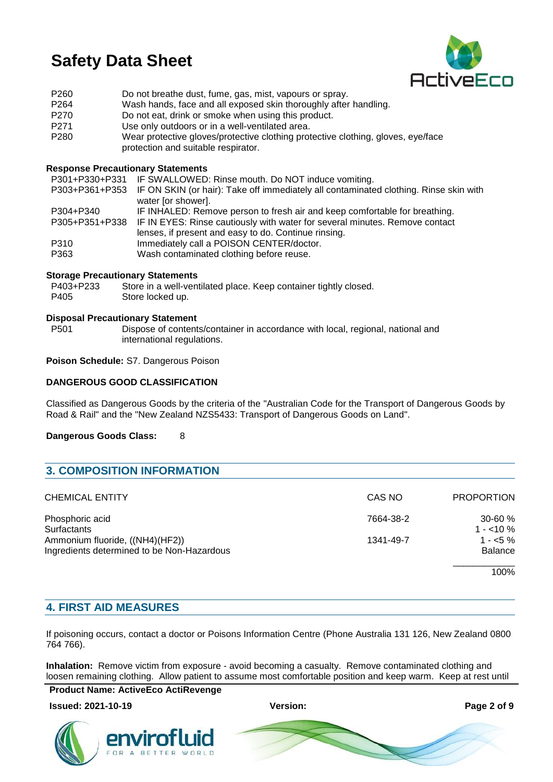

| P <sub>260</sub> | Do not breathe dust, fume, gas, mist, vapours or spray.                          |
|------------------|----------------------------------------------------------------------------------|
| P <sub>264</sub> | Wash hands, face and all exposed skin thoroughly after handling.                 |
| P270             | Do not eat, drink or smoke when using this product.                              |
| P <sub>271</sub> | Use only outdoors or in a well-ventilated area.                                  |
| P <sub>280</sub> | Wear protective gloves/protective clothing protective clothing, gloves, eye/face |
|                  | protection and suitable respirator.                                              |

#### **Response Precautionary Statements**

P301+P330+P331 IF SWALLOWED: Rinse mouth. Do NOT induce vomiting.

|           | P303+P361+P353 IF ON SKIN (or hair): Take off immediately all contaminated clothing. Rinse skin with |
|-----------|------------------------------------------------------------------------------------------------------|
|           | water for showerl.                                                                                   |
| P304+P340 | IF INHALED: Remove person to fresh air and keep comfortable for breathing.                           |
|           | P305+P351+P338 IF IN EYES: Rinse cautiously with water for several minutes. Remove contact           |
|           |                                                                                                      |

- lenses, if present and easy to do. Continue rinsing.
- P310 Immediately call a POISON CENTER/doctor. P363 Wash contaminated clothing before reuse.

### **Storage Precautionary Statements**

| P403+P233 | Store in a well-ventilated place. Keep container tightly closed. |
|-----------|------------------------------------------------------------------|
| P405      | Store locked up.                                                 |

#### **Disposal Precautionary Statement**

P501 Dispose of contents/container in accordance with local, regional, national and international regulations.

## **Poison Schedule:** S7. Dangerous Poison

### **DANGEROUS GOOD CLASSIFICATION**

Classified as Dangerous Goods by the criteria of the "Australian Code for the Transport of Dangerous Goods by Road & Rail" and the "New Zealand NZS5433: Transport of Dangerous Goods on Land".

**Dangerous Goods Class:** 8

| <b>3. COMPOSITION INFORMATION</b>                                             |           |                             |
|-------------------------------------------------------------------------------|-----------|-----------------------------|
| <b>CHEMICAL ENTITY</b>                                                        | CAS NO    | <b>PROPORTION</b>           |
| Phosphoric acid<br>Surfactants                                                | 7664-38-2 | $30 - 60 \%$<br>$1 - 10\%$  |
| Ammonium fluoride, ((NH4)(HF2))<br>Ingredients determined to be Non-Hazardous | 1341-49-7 | $1 - 5\%$<br><b>Balance</b> |
|                                                                               |           | 100%                        |

## **4. FIRST AID MEASURES**

If poisoning occurs, contact a doctor or Poisons Information Centre (Phone Australia 131 126, New Zealand 0800 764 766).

**Inhalation:** Remove victim from exposure - avoid becoming a casualty. Remove contaminated clothing and loosen remaining clothing. Allow patient to assume most comfortable position and keep warm. Keep at rest until

**Product Name: ActiveEco ActiRevenge**

#### **Issued: 2021-10-19 Version: Page 2 of 9**

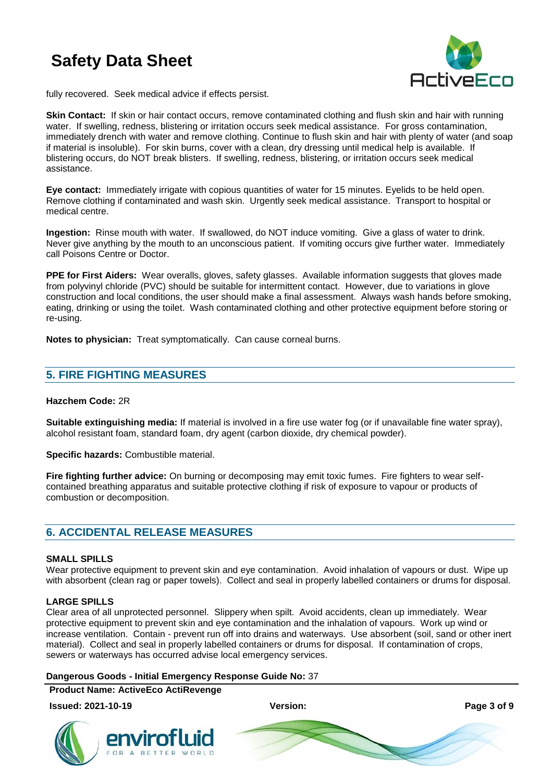

fully recovered. Seek medical advice if effects persist.

**Skin Contact:** If skin or hair contact occurs, remove contaminated clothing and flush skin and hair with running water. If swelling, redness, blistering or irritation occurs seek medical assistance. For gross contamination, immediately drench with water and remove clothing. Continue to flush skin and hair with plenty of water (and soap if material is insoluble). For skin burns, cover with a clean, dry dressing until medical help is available. If blistering occurs, do NOT break blisters. If swelling, redness, blistering, or irritation occurs seek medical assistance.

**Eye contact:** Immediately irrigate with copious quantities of water for 15 minutes. Eyelids to be held open. Remove clothing if contaminated and wash skin. Urgently seek medical assistance. Transport to hospital or medical centre.

**Ingestion:** Rinse mouth with water. If swallowed, do NOT induce vomiting. Give a glass of water to drink. Never give anything by the mouth to an unconscious patient. If vomiting occurs give further water. Immediately call Poisons Centre or Doctor.

**PPE for First Aiders:** Wear overalls, gloves, safety glasses. Available information suggests that gloves made from polyvinyl chloride (PVC) should be suitable for intermittent contact. However, due to variations in glove construction and local conditions, the user should make a final assessment. Always wash hands before smoking, eating, drinking or using the toilet. Wash contaminated clothing and other protective equipment before storing or re-using.

**Notes to physician:** Treat symptomatically. Can cause corneal burns.

## **5. FIRE FIGHTING MEASURES**

#### **Hazchem Code:** 2R

**Suitable extinguishing media:** If material is involved in a fire use water fog (or if unavailable fine water spray), alcohol resistant foam, standard foam, dry agent (carbon dioxide, dry chemical powder).

**Specific hazards:** Combustible material.

**Fire fighting further advice:** On burning or decomposing may emit toxic fumes. Fire fighters to wear selfcontained breathing apparatus and suitable protective clothing if risk of exposure to vapour or products of combustion or decomposition.

## **6. ACCIDENTAL RELEASE MEASURES**

#### **SMALL SPILLS**

Wear protective equipment to prevent skin and eye contamination. Avoid inhalation of vapours or dust. Wipe up with absorbent (clean rag or paper towels). Collect and seal in properly labelled containers or drums for disposal.

### **LARGE SPILLS**

Clear area of all unprotected personnel. Slippery when spilt. Avoid accidents, clean up immediately. Wear protective equipment to prevent skin and eye contamination and the inhalation of vapours. Work up wind or increase ventilation. Contain - prevent run off into drains and waterways. Use absorbent (soil, sand or other inert material). Collect and seal in properly labelled containers or drums for disposal. If contamination of crops, sewers or waterways has occurred advise local emergency services.

#### **Dangerous Goods - Initial Emergency Response Guide No:** 37

**Product Name: ActiveEco ActiRevenge**

#### **Issued: 2021-10-19 Version: Page 3 of 9**

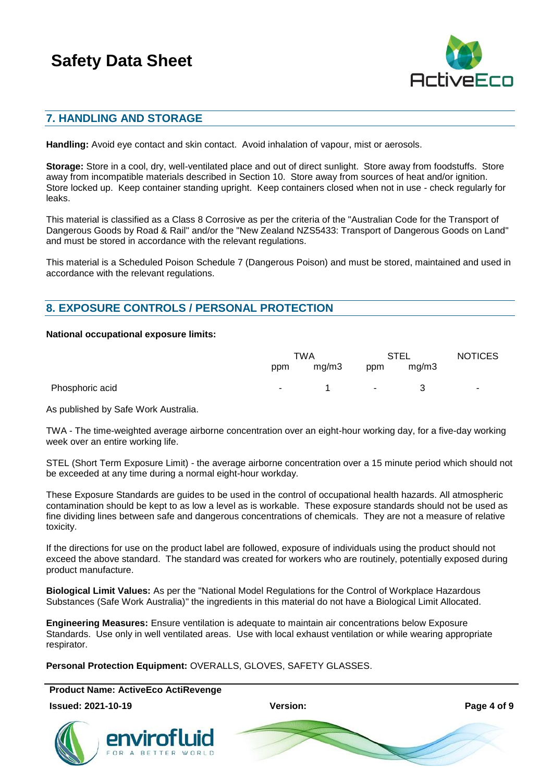

## **7. HANDLING AND STORAGE**

**Handling:** Avoid eye contact and skin contact. Avoid inhalation of vapour, mist or aerosols.

**Storage:** Store in a cool, dry, well-ventilated place and out of direct sunlight. Store away from foodstuffs. Store away from incompatible materials described in Section 10. Store away from sources of heat and/or ignition. Store locked up. Keep container standing upright. Keep containers closed when not in use - check regularly for leaks.

This material is classified as a Class 8 Corrosive as per the criteria of the "Australian Code for the Transport of Dangerous Goods by Road & Rail" and/or the "New Zealand NZS5433: Transport of Dangerous Goods on Land" and must be stored in accordance with the relevant regulations.

This material is a Scheduled Poison Schedule 7 (Dangerous Poison) and must be stored, maintained and used in accordance with the relevant regulations.

## **8. EXPOSURE CONTROLS / PERSONAL PROTECTION**

#### **National occupational exposure limits:**

|                 | TWA                      |       | STEL              |       | <b>NOTICES</b> |
|-----------------|--------------------------|-------|-------------------|-------|----------------|
|                 | ppm                      | mg/m3 | ppm               | mg/m3 |                |
| Phosphoric acid | <b>Contract Contract</b> |       | <b>Contractor</b> |       | $\sim$         |

As published by Safe Work Australia.

TWA - The time-weighted average airborne concentration over an eight-hour working day, for a five-day working week over an entire working life.

STEL (Short Term Exposure Limit) - the average airborne concentration over a 15 minute period which should not be exceeded at any time during a normal eight-hour workday.

These Exposure Standards are guides to be used in the control of occupational health hazards. All atmospheric contamination should be kept to as low a level as is workable. These exposure standards should not be used as fine dividing lines between safe and dangerous concentrations of chemicals. They are not a measure of relative toxicity.

If the directions for use on the product label are followed, exposure of individuals using the product should not exceed the above standard. The standard was created for workers who are routinely, potentially exposed during product manufacture.

**Biological Limit Values:** As per the "National Model Regulations for the Control of Workplace Hazardous Substances (Safe Work Australia)" the ingredients in this material do not have a Biological Limit Allocated.

**Engineering Measures:** Ensure ventilation is adequate to maintain air concentrations below Exposure Standards. Use only in well ventilated areas. Use with local exhaust ventilation or while wearing appropriate respirator.

**Personal Protection Equipment:** OVERALLS, GLOVES, SAFETY GLASSES.

**Product Name: ActiveEco ActiRevenge**



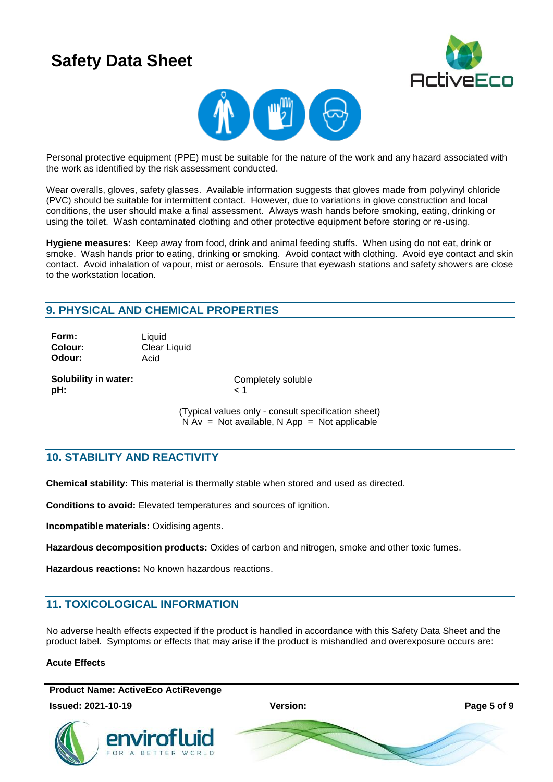



Personal protective equipment (PPE) must be suitable for the nature of the work and any hazard associated with the work as identified by the risk assessment conducted.

Wear overalls, gloves, safety glasses. Available information suggests that gloves made from polyvinyl chloride (PVC) should be suitable for intermittent contact. However, due to variations in glove construction and local conditions, the user should make a final assessment. Always wash hands before smoking, eating, drinking or using the toilet. Wash contaminated clothing and other protective equipment before storing or re-using.

**Hygiene measures:** Keep away from food, drink and animal feeding stuffs. When using do not eat, drink or smoke. Wash hands prior to eating, drinking or smoking. Avoid contact with clothing. Avoid eye contact and skin contact. Avoid inhalation of vapour, mist or aerosols. Ensure that eyewash stations and safety showers are close to the workstation location.

## **9. PHYSICAL AND CHEMICAL PROPERTIES**

**Form:** Liquid **Odour:** Acid

**Colour:** Clear Liquid

**Solubility in water:** Completely soluble **pH:**  $\leq 1$ 

(Typical values only - consult specification sheet)  $N Av = Not available, N App = Not applicable$ 

## **10. STABILITY AND REACTIVITY**

**Chemical stability:** This material is thermally stable when stored and used as directed.

**Conditions to avoid:** Elevated temperatures and sources of ignition.

**Incompatible materials:** Oxidising agents.

**Hazardous decomposition products:** Oxides of carbon and nitrogen, smoke and other toxic fumes.

**Hazardous reactions:** No known hazardous reactions.

## **11. TOXICOLOGICAL INFORMATION**

No adverse health effects expected if the product is handled in accordance with this Safety Data Sheet and the product label. Symptoms or effects that may arise if the product is mishandled and overexposure occurs are:

### **Acute Effects**

**Product Name: ActiveEco ActiRevenge**

**Issued: 2021-10-19 Version: Page 5 of 9**



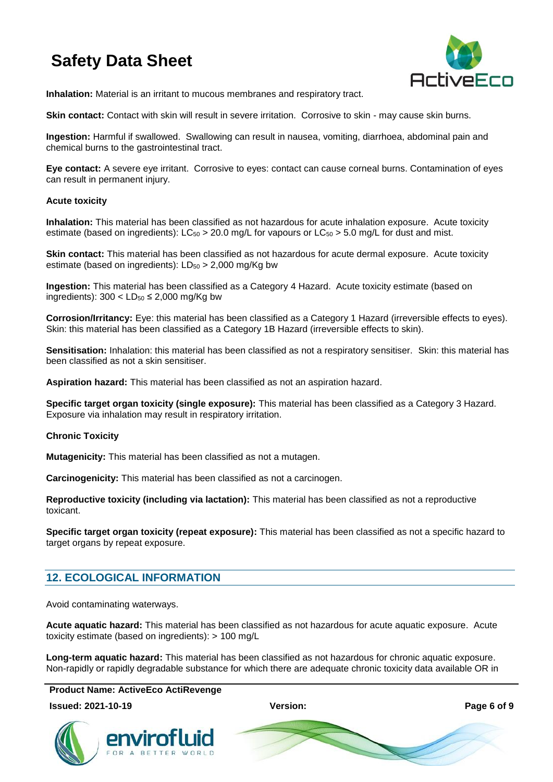

**Inhalation:** Material is an irritant to mucous membranes and respiratory tract.

**Skin contact:** Contact with skin will result in severe irritation. Corrosive to skin - may cause skin burns.

**Ingestion:** Harmful if swallowed. Swallowing can result in nausea, vomiting, diarrhoea, abdominal pain and chemical burns to the gastrointestinal tract.

**Eye contact:** A severe eye irritant. Corrosive to eyes: contact can cause corneal burns. Contamination of eyes can result in permanent injury.

### **Acute toxicity**

**Inhalation:** This material has been classified as not hazardous for acute inhalation exposure. Acute toxicity estimate (based on ingredients):  $LC_{50} > 20.0$  mg/L for vapours or  $LC_{50} > 5.0$  mg/L for dust and mist.

**Skin contact:** This material has been classified as not hazardous for acute dermal exposure. Acute toxicity estimate (based on ingredients):  $LD_{50} > 2,000$  mg/Kg bw

**Ingestion:** This material has been classified as a Category 4 Hazard. Acute toxicity estimate (based on ingredients):  $300 < LD_{50} \le 2,000$  mg/Kg bw

**Corrosion/Irritancy:** Eye: this material has been classified as a Category 1 Hazard (irreversible effects to eyes). Skin: this material has been classified as a Category 1B Hazard (irreversible effects to skin).

**Sensitisation:** Inhalation: this material has been classified as not a respiratory sensitiser. Skin: this material has been classified as not a skin sensitiser.

**Aspiration hazard:** This material has been classified as not an aspiration hazard.

**Specific target organ toxicity (single exposure):** This material has been classified as a Category 3 Hazard. Exposure via inhalation may result in respiratory irritation.

### **Chronic Toxicity**

**Mutagenicity:** This material has been classified as not a mutagen.

**Carcinogenicity:** This material has been classified as not a carcinogen.

**Reproductive toxicity (including via lactation):** This material has been classified as not a reproductive toxicant.

**Specific target organ toxicity (repeat exposure):** This material has been classified as not a specific hazard to target organs by repeat exposure.

## **12. ECOLOGICAL INFORMATION**

Avoid contaminating waterways.

**Acute aquatic hazard:** This material has been classified as not hazardous for acute aquatic exposure. Acute toxicity estimate (based on ingredients): > 100 mg/L

**Long-term aquatic hazard:** This material has been classified as not hazardous for chronic aquatic exposure. Non-rapidly or rapidly degradable substance for which there are adequate chronic toxicity data available OR in

**Product Name: ActiveEco ActiRevenge**

envirotlı

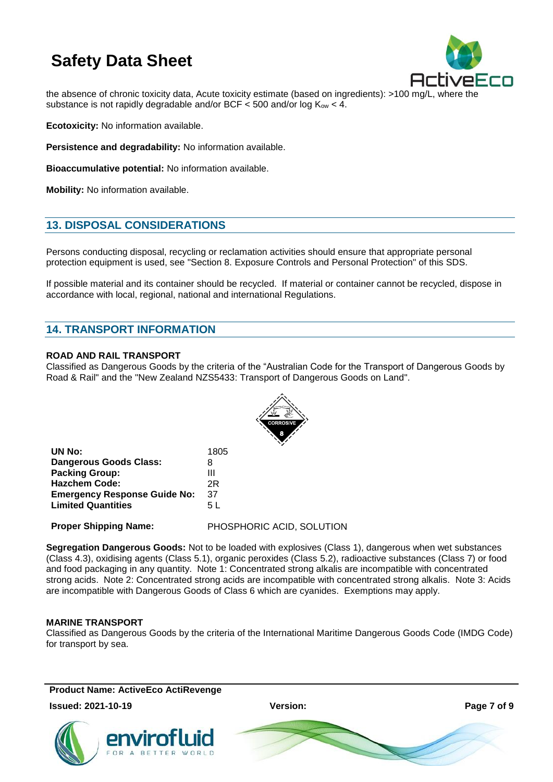

the absence of chronic toxicity data, Acute toxicity estimate (based on ingredients): >100 mg/L, where the substance is not rapidly degradable and/or BCF  $<$  500 and/or log  $K_{ow}$   $<$  4.

**Ecotoxicity:** No information available.

**Persistence and degradability:** No information available.

**Bioaccumulative potential:** No information available.

**Mobility:** No information available.

## **13. DISPOSAL CONSIDERATIONS**

Persons conducting disposal, recycling or reclamation activities should ensure that appropriate personal protection equipment is used, see "Section 8. Exposure Controls and Personal Protection" of this SDS.

If possible material and its container should be recycled. If material or container cannot be recycled, dispose in accordance with local, regional, national and international Regulations.

## **14. TRANSPORT INFORMATION**

### **ROAD AND RAIL TRANSPORT**

Classified as Dangerous Goods by the criteria of the "Australian Code for the Transport of Dangerous Goods by Road & Rail" and the "New Zealand NZS5433: Transport of Dangerous Goods on Land".



| UN No:                              | 1805 |
|-------------------------------------|------|
| <b>Dangerous Goods Class:</b>       | 8    |
| <b>Packing Group:</b>               | Ш    |
| <b>Hazchem Code:</b>                | 2R   |
| <b>Emergency Response Guide No:</b> | 37   |
| <b>Limited Quantities</b>           | 5 L  |
|                                     |      |

**Proper Shipping Name:** PHOSPHORIC ACID, SOLUTION

**Segregation Dangerous Goods:** Not to be loaded with explosives (Class 1), dangerous when wet substances (Class 4.3), oxidising agents (Class 5.1), organic peroxides (Class 5.2), radioactive substances (Class 7) or food and food packaging in any quantity. Note 1: Concentrated strong alkalis are incompatible with concentrated strong acids. Note 2: Concentrated strong acids are incompatible with concentrated strong alkalis. Note 3: Acids are incompatible with Dangerous Goods of Class 6 which are cyanides. Exemptions may apply.

### **MARINE TRANSPORT**

Classified as Dangerous Goods by the criteria of the International Maritime Dangerous Goods Code (IMDG Code) for transport by sea.

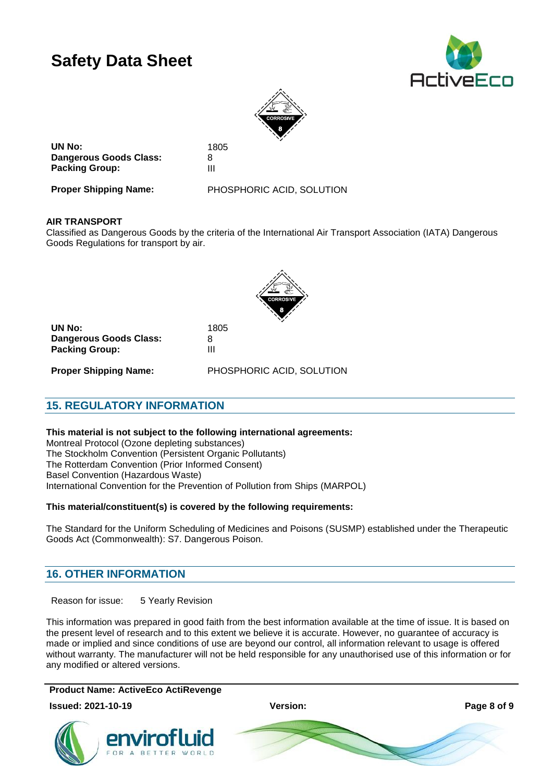



**UN No:** 1805 **Dangerous Goods Class:** 8<br>**Packing Group:** 8 **Packing Group:** 

**Proper Shipping Name:** PHOSPHORIC ACID, SOLUTION

### **AIR TRANSPORT**

Classified as Dangerous Goods by the criteria of the International Air Transport Association (IATA) Dangerous Goods Regulations for transport by air.



**UN No:** 1805 **Dangerous Goods Class:** 8 **Packing Group:** III

**Proper Shipping Name:** PHOSPHORIC ACID, SOLUTION

## **15. REGULATORY INFORMATION**

**This material is not subject to the following international agreements:**

Montreal Protocol (Ozone depleting substances) The Stockholm Convention (Persistent Organic Pollutants) The Rotterdam Convention (Prior Informed Consent) Basel Convention (Hazardous Waste) International Convention for the Prevention of Pollution from Ships (MARPOL)

### **This material/constituent(s) is covered by the following requirements:**

The Standard for the Uniform Scheduling of Medicines and Poisons (SUSMP) established under the Therapeutic Goods Act (Commonwealth): S7. Dangerous Poison.

## **16. OTHER INFORMATION**

Reason for issue: 5 Yearly Revision

This information was prepared in good faith from the best information available at the time of issue. It is based on the present level of research and to this extent we believe it is accurate. However, no guarantee of accuracy is made or implied and since conditions of use are beyond our control, all information relevant to usage is offered without warranty. The manufacturer will not be held responsible for any unauthorised use of this information or for any modified or altered versions.

**Product Name: ActiveEco ActiRevenge**

**Issued: 2021-10-19 Version: Page 8 of 9**